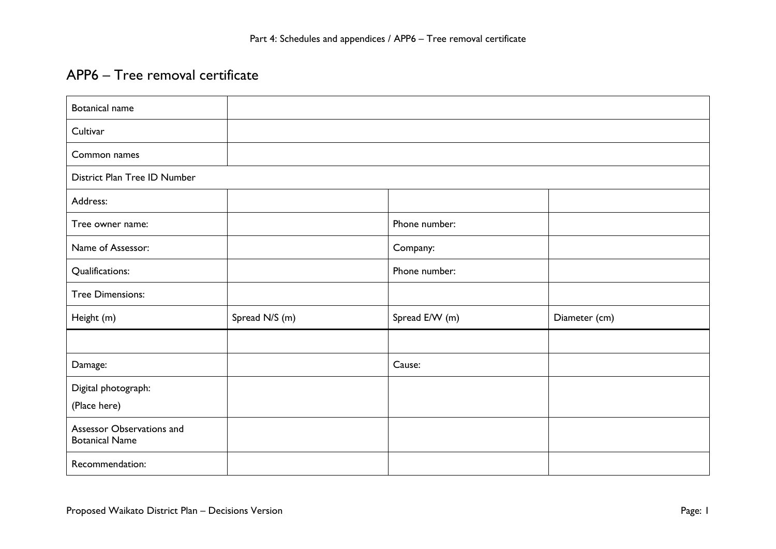## APP6 – Tree removal certificate

| <b>Botanical name</b>                              |                |                |               |  |
|----------------------------------------------------|----------------|----------------|---------------|--|
| Cultivar                                           |                |                |               |  |
| Common names                                       |                |                |               |  |
| District Plan Tree ID Number                       |                |                |               |  |
| Address:                                           |                |                |               |  |
| Tree owner name:                                   |                | Phone number:  |               |  |
| Name of Assessor:                                  |                | Company:       |               |  |
| Qualifications:                                    |                | Phone number:  |               |  |
| <b>Tree Dimensions:</b>                            |                |                |               |  |
| Height (m)                                         | Spread N/S (m) | Spread E/W (m) | Diameter (cm) |  |
|                                                    |                |                |               |  |
| Damage:                                            |                | Cause:         |               |  |
| Digital photograph:                                |                |                |               |  |
| (Place here)                                       |                |                |               |  |
| Assessor Observations and<br><b>Botanical Name</b> |                |                |               |  |
| Recommendation:                                    |                |                |               |  |